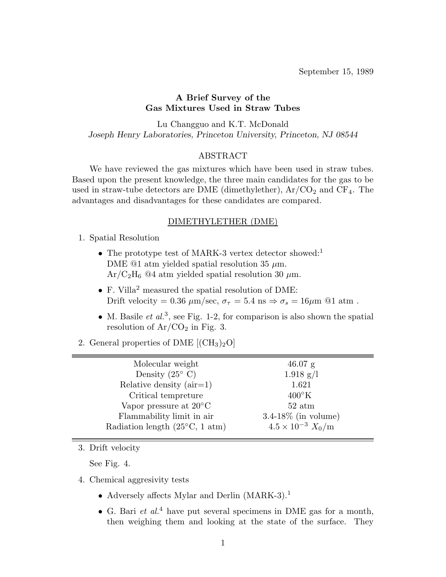September 15, 1989

## **A Brief Survey of the Gas Mixtures Used in Straw Tubes**

Lu Changguo and K.T. McDonald *Joseph Henry Laboratories, Princeton University, Princeton, NJ 08544*

### ABSTRACT

We have reviewed the gas mixtures which have been used in straw tubes. Based upon the present knowledge, the three main candidates for the gas to be used in straw-tube detectors are DME (dimethylether),  $Ar/CO<sub>2</sub>$  and  $CF<sub>4</sub>$ . The advantages and disadvantages for these candidates are compared.

#### DIMETHYLETHER (DME)

- 1. Spatial Resolution
	- The prototype test of MARK-3 vertex detector showed:<sup>1</sup> DME  $@1$  atm yielded spatial resolution 35  $\mu$ m.  $Ar/C<sub>2</sub>H<sub>6</sub>$  @4 atm yielded spatial resolution 30  $\mu$ m.
	- F. Villa<sup>2</sup> measured the spatial resolution of DME: Drift velocity = 0.36  $\mu$ m/sec,  $\sigma_{\tau} = 5.4$  ns  $\Rightarrow \sigma_{s} = 16 \mu$ m @1 atm.
	- M. Basile *et al.*<sup>3</sup>, see Fig. 1-2, for comparison is also shown the spatial resolution of  $Ar/CO<sub>2</sub>$  in Fig. 3.
- 2. General properties of DME  $\rm [CH_3)_2O$

| Molecular weight                                | $46.07$ g                  |
|-------------------------------------------------|----------------------------|
| Density $(25^{\circ} \text{ C})$                | $1.918$ g/l                |
| Relative density $(air=1)$                      | 1.621                      |
| Critical tempreture                             | $400\textdegree K$         |
| Vapor pressure at $20^{\circ}$ C                | $52 \text{ atm}$           |
| Flammability limit in air                       | $3.4-18\%$ (in volume)     |
| Radiation length $(25^{\circ}C, 1 \text{ atm})$ | $4.5 \times 10^{-3} X_0/m$ |
|                                                 |                            |

3. Drift velocity

See Fig. 4.

- 4. Chemical aggresivity tests
	- Adversely affects Mylar and Derlin (MARK-3).<sup>1</sup>
	- G. Bari *et al.*<sup>4</sup> have put several specimens in DME gas for a month, then weighing them and looking at the state of the surface. They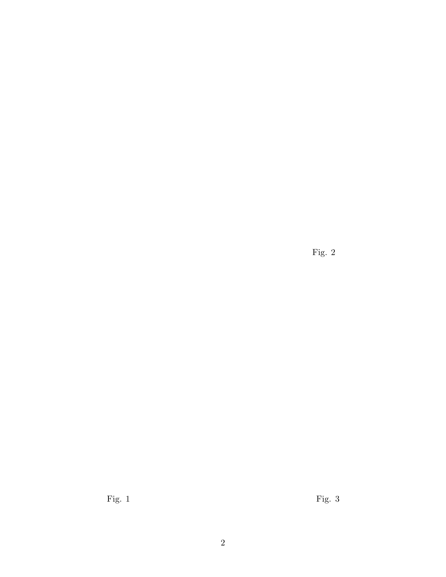Fig. 2

Fig. 1 Fig. 3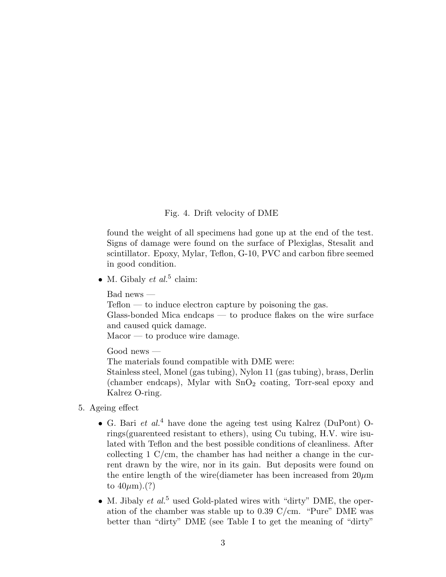## Fig. 4. Drift velocity of DME

found the weight of all specimens had gone up at the end of the test. Signs of damage were found on the surface of Plexiglas, Stesalit and scintillator. Epoxy, Mylar, Teflon, G-10, PVC and carbon fibre seemed in good condition.

• M. Gibaly *et al.*<sup>5</sup> claim:

Bad news —

 $Teflon - to induce electron capture by poisoning the gas.$ 

Glass-bonded Mica endcaps — to produce flakes on the wire surface and caused quick damage.

Macor — to produce wire damage.

Good news —

The materials found compatible with DME were:

Stainless steel, Monel (gas tubing), Nylon 11 (gas tubing), brass, Derlin (chamber endcaps), Mylar with  $SnO<sub>2</sub>$  coating, Torr-seal epoxy and Kalrez O-ring.

- 5. Ageing effect
	- G. Bari *et al.*<sup>4</sup> have done the ageing test using Kalrez (DuPont) Orings(guarenteed resistant to ethers), using Cu tubing, H.V. wire isulated with Teflon and the best possible conditions of cleanliness. After collecting 1 C/cm, the chamber has had neither a change in the current drawn by the wire, nor in its gain. But deposits were found on the entire length of the wire diameter has been increased from  $20\mu m$ to  $40\mu$ m).(?)
	- M. Jibaly *et al.*<sup>5</sup> used Gold-plated wires with "dirty" DME, the operation of the chamber was stable up to 0.39 C/cm. "Pure" DME was better than "dirty" DME (see Table I to get the meaning of "dirty"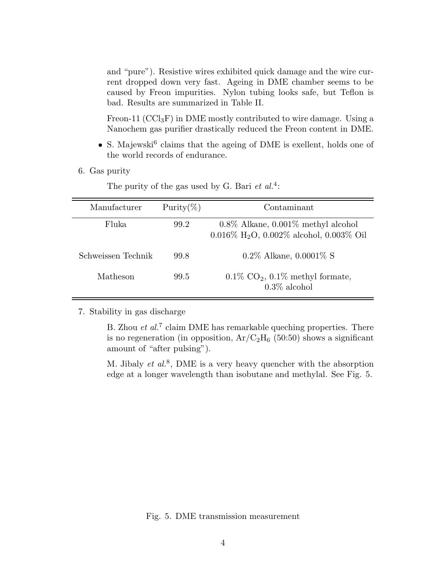and "pure"). Resistive wires exhibited quick damage and the wire current dropped down very fast. Ageing in DME chamber seems to be caused by Freon impurities. Nylon tubing looks safe, but Teflon is bad. Results are summarized in Table II.

Freon-11 ( $\text{CCl}_3\text{F}$ ) in DME mostly contributed to wire damage. Using a Nanochem gas purifier drastically reduced the Freon content in DME.

- S. Majewski<sup>6</sup> claims that the ageing of DME is exellent, holds one of the world records of endurance.
- 6. Gas purity

| Manufacturer       | Purity $(\%)$ | Contaminant                                                                                              |
|--------------------|---------------|----------------------------------------------------------------------------------------------------------|
| Fluka              | 99.2          | $0.8\%$ Alkane, $0.001\%$ methyl alcohol<br>$0.016\%$ H <sub>2</sub> O, $0.002\%$ alcohol, $0.003\%$ Oil |
| Schweissen Technik | 99.8          | $0.2\%$ Alkane, $0.0001\%$ S                                                                             |
| Matheson           | 99.5          | $0.1\%$ CO <sub>2</sub> , $0.1\%$ methyl formate,<br>$0.3\%$ alcohol                                     |

The purity of the gas used by G. Bari *et al.*<sup>4</sup>:

7. Stability in gas discharge

B. Zhou *et al.*<sup>7</sup> claim DME has remarkable queching properties. There is no regeneration (in opposition,  $Ar/C<sub>2</sub>H<sub>6</sub>$  (50:50) shows a significant amount of "after pulsing").

M. Jibaly *et al.*<sup>8</sup>, DME is a very heavy quencher with the absorption edge at a longer wavelength than isobutane and methylal. See Fig. 5.

Fig. 5. DME transmission measurement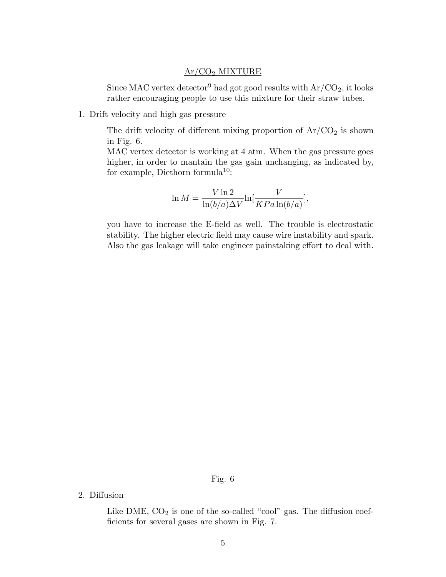## Ar/CO<sup>2</sup> MIXTURE

Since MAC vertex detector<sup>9</sup> had got good results with  $Ar/CO<sub>2</sub>$ , it looks rather encouraging people to use this mixture for their straw tubes.

1. Drift velocity and high gas pressure

The drift velocity of different mixing proportion of  $Ar/CO<sub>2</sub>$  is shown in Fig. 6.

MAC vertex detector is working at 4 atm. When the gas pressure goes higher, in order to mantain the gas gain unchanging, as indicated by, for example, Diethorn formula<sup>10</sup>:

$$
\ln M = \frac{V \ln 2}{\ln(b/a)\Delta V} \ln \left[\frac{V}{KPa \ln(b/a)}\right],
$$

you have to increase the E-field as well. The trouble is electrostatic stability. The higher electric field may cause wire instability and spark. Also the gas leakage will take engineer painstaking effort to deal with.

## Fig. 6

2. Diffusion

Like DME,  $CO<sub>2</sub>$  is one of the so-called "cool" gas. The diffusion coefficients for several gases are shown in Fig. 7.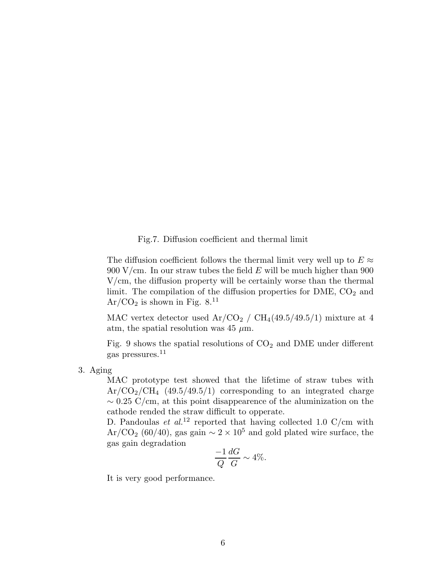Fig.7. Diffusion coefficient and thermal limit

The diffusion coefficient follows the thermal limit very well up to  $E \approx$ 900 V/cm. In our straw tubes the field  $E$  will be much higher than 900 V/cm, the diffusion property will be certainly worse than the thermal limit. The compilation of the diffusion properties for DME,  $CO<sub>2</sub>$  and  $Ar/CO<sub>2</sub>$  is shown in Fig. 8.<sup>11</sup>

MAC vertex detector used  $Ar/CO<sub>2</sub>$  /  $CH<sub>4</sub>(49.5/49.5/1)$  mixture at 4 atm, the spatial resolution was 45  $\mu$ m.

Fig. 9 shows the spatial resolutions of  $CO<sub>2</sub>$  and DME under different gas pressures.<sup>11</sup>

3. Aging

MAC prototype test showed that the lifetime of straw tubes with  $Ar/CO<sub>2</sub>/CH<sub>4</sub>$  (49.5/49.5/1) corresponding to an integrated charge  $\sim 0.25$  C/cm, at this point disappearence of the aluminization on the cathode rended the straw difficult to opperate.

D. Pandoulas *et al.*<sup>12</sup> reported that having collected 1.0 C/cm with Ar/CO<sub>2</sub> (60/40), gas gain  $\sim 2 \times 10^5$  and gold plated wire surface, the gas gain degradation  $\sim$ 

$$
\frac{-1}{Q}\frac{dG}{G} \sim 4\%.
$$

It is very good performance.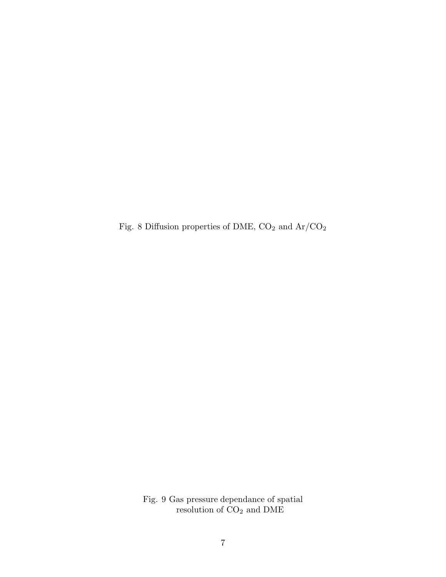Fig. 8 Diffusion properties of DME,  $\rm CO_2$  and  $\rm Ar/CO_2$ 

Fig. 9 Gas pressure dependance of spatial resolution of  $CO<sub>2</sub>$  and DME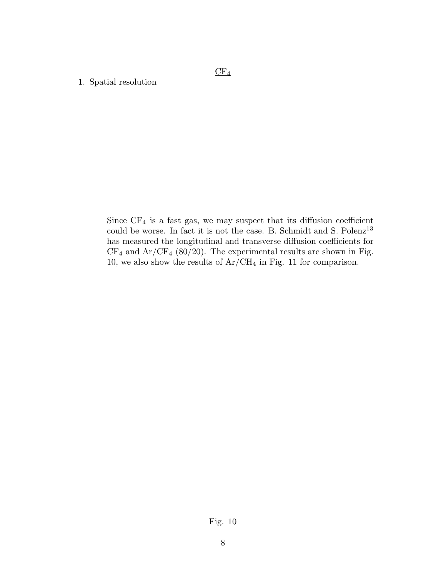$CF<sub>4</sub>$ 

## 1. Spatial resolution

Since  $CF_4$  is a fast gas, we may suspect that its diffusion coefficient could be worse. In fact it is not the case. B. Schmidt and S.  $\rm{Polenz^{13}}$ has measured the longitudinal and transverse diffusion coefficients for  $CF_4$  and  $Ar/CF_4$  (80/20). The experimental results are shown in Fig. 10, we also show the results of  $Ar/CH_4$  in Fig. 11 for comparison.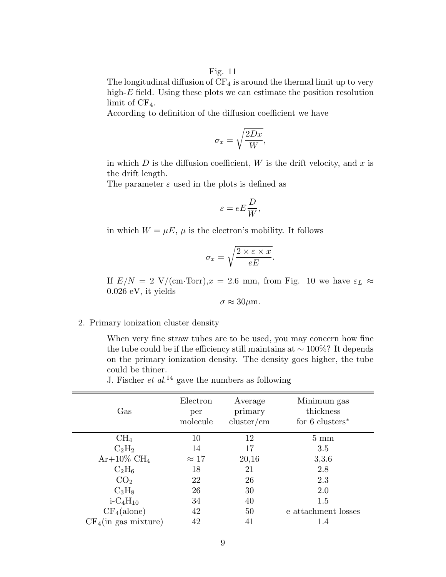Fig. 11

The longitudinal diffusion of  $CF_4$  is around the thermal limit up to very high- $E$  field. Using these plots we can estimate the position resolution limit of  $CF_4$ .

According to definition of the diffusion coefficient we have

$$
\sigma_x = \sqrt{\frac{2Dx}{W}},
$$

in which  $D$  is the diffusion coefficient,  $W$  is the drift velocity, and  $x$  is the drift length.

The parameter  $\varepsilon$  used in the plots is defined as

$$
\varepsilon = eE\frac{D}{W},
$$

in which  $W = \mu E$ ,  $\mu$  is the electron's mobility. It follows

$$
\sigma_x = \sqrt{\frac{2 \times \varepsilon \times x}{eE}}.
$$

If  $E/N = 2$  V/(cm·Torr), $x = 2.6$  mm, from Fig. 10 we have  $\varepsilon_L \approx$ 0.026 eV, it yields

 $\sigma \approx 30 \mu \text{m}$ .

### 2. Primary ionization cluster density

When very fine straw tubes are to be used, you may concern how fine the tube could be if the efficiency still maintains at  $\sim 100\%$ ? It depends on the primary ionization density. The density goes higher, the tube could be thiner.<br>Leisabor et al.<sup>14</sup>

| J. Fischer <i>et al.</i> <sup>14</sup> gave the numbers as following |  |
|----------------------------------------------------------------------|--|
|----------------------------------------------------------------------|--|

| Gas                                 | Electron<br>per<br>molecule | Average<br>primary<br>cluster/cm | Minimum gas<br>thickness<br>for 6 clusters <sup>*</sup> |
|-------------------------------------|-----------------------------|----------------------------------|---------------------------------------------------------|
| $CH_4$                              | 10                          | 12                               | $5 \text{ mm}$                                          |
| $C_2H_2$                            | 14                          | 17                               | 3.5                                                     |
| $Ar+10\%$ CH <sub>4</sub>           | $\approx 17$                | 20,16                            | 3,3.6                                                   |
| $C_2H_6$                            | 18                          | 21                               | 2.8                                                     |
| CO <sub>2</sub>                     | 22                          | 26                               | 2.3                                                     |
| $C_3H_8$                            | 26                          | 30                               | 2.0                                                     |
| $i$ -C <sub>4</sub> H <sub>10</sub> | 34                          | 40                               | 1.5                                                     |
| $CF_4$ (alone)                      | 42                          | 50                               | e attachment losses                                     |
| $CF_4$ (in gas mixture)             | 42                          | 41                               | 1.4                                                     |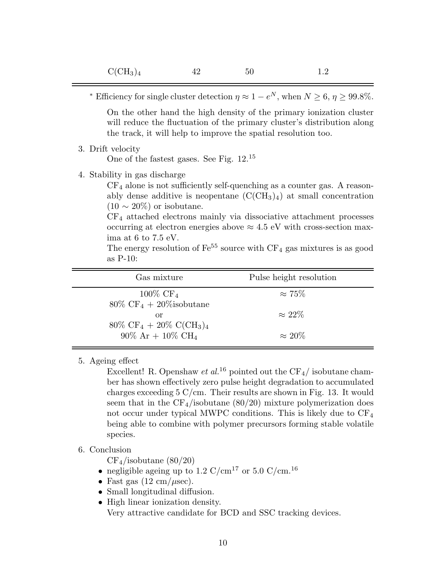|                                                                                                       | * Efficiency for single cluster detection $\eta \approx 1 - e^N$ , when $N \ge 6$ , $\eta \ge 99.8\%$ .                                                                                                                                                                                                                                                                                                        |
|-------------------------------------------------------------------------------------------------------|----------------------------------------------------------------------------------------------------------------------------------------------------------------------------------------------------------------------------------------------------------------------------------------------------------------------------------------------------------------------------------------------------------------|
|                                                                                                       | On the other hand the high density of the primary ionization cluster<br>will reduce the fluctuation of the primary cluster's distribution along<br>the track, it will help to improve the spatial resolution too.                                                                                                                                                                                              |
| 3. Drift velocity                                                                                     | One of the fastest gases. See Fig. $12.^{15}$                                                                                                                                                                                                                                                                                                                                                                  |
| 4. Stability in gas discharge<br>$(10 \sim 20\%)$ or isobutane.<br>ima at 6 to 7.5 eV.<br>as $P-10$ : | $CF_4$ alone is not sufficiently self-quenching as a counter gas. A reason-<br>ably dense additive is neopentane $(C(CH_3)_4)$ at small concentration<br>$CF4$ attached electrons mainly via dissociative attachment processes<br>occurring at electron energies above $\approx 4.5$ eV with cross-section max-<br>The energy resolution of $\text{Fe}^{55}$ source with $\text{CF}_4$ gas mixtures is as good |
| Gas mixture                                                                                           | Pulse height resolution                                                                                                                                                                                                                                                                                                                                                                                        |
| $100\%$ CF <sub>4</sub>                                                                               | $\approx 75\%$                                                                                                                                                                                                                                                                                                                                                                                                 |

| $100\%$ CF <sub>4</sub>                             | $\approx 75\%$ |  |
|-----------------------------------------------------|----------------|--|
| $80\% \text{ CF}_4 + 20\%$ isobutane                |                |  |
| or                                                  | $\approx 22\%$ |  |
| $80\% \text{ CF}_4 + 20\% \text{ C}(\text{CH}_3)_4$ |                |  |
| $90\%$ Ar + $10\%$ CH <sub>4</sub>                  | $\approx 20\%$ |  |

5. Ageing effect

Excellent! R. Openshaw *et al.*<sup>16</sup> pointed out the  $CF_4/$  isobutane chamber has shown effectively zero pulse height degradation to accumulated charges exceeding 5 C/cm. Their results are shown in Fig. 13. It would seem that in the  $CF_4$ /isobutane (80/20) mixture polymerization does not occur under typical MWPC conditions. This is likely due to  $CF_4$ being able to combine with polymer precursors forming stable volatile species.

# 6. Conclusion

 $CF_4$ /isobutane (80/20)

- $\bullet\,$  negligible ageing up to 1.2  $\mathrm{C/cm^{17}}$  or 5.0  $\mathrm{C/cm^{16}}$
- Fast gas  $(12 \text{ cm}/\mu \text{sec})$ .
- Small longitudinal diffusion.
- High linear ionization density. Very attractive candidate for BCD and SSC tracking devices.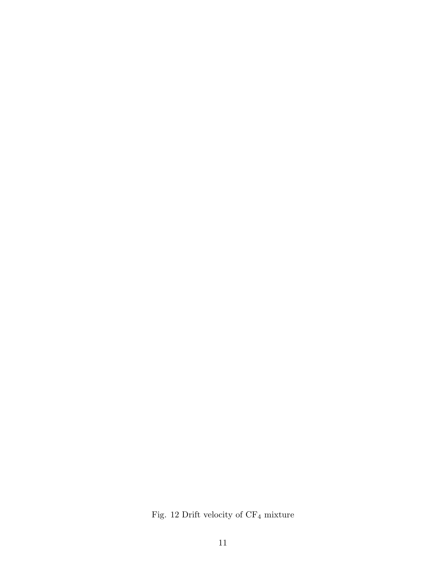Fig. 12 Drift velocity of  $\rm CF_4$  mixture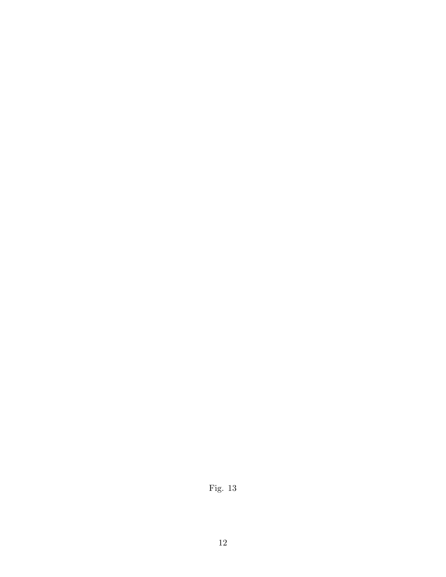Fig. 13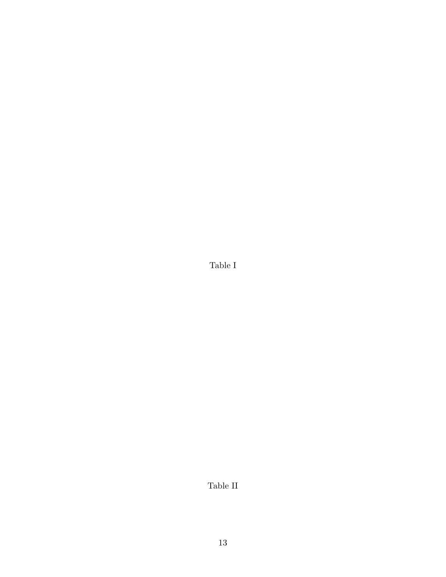Table I

Table II